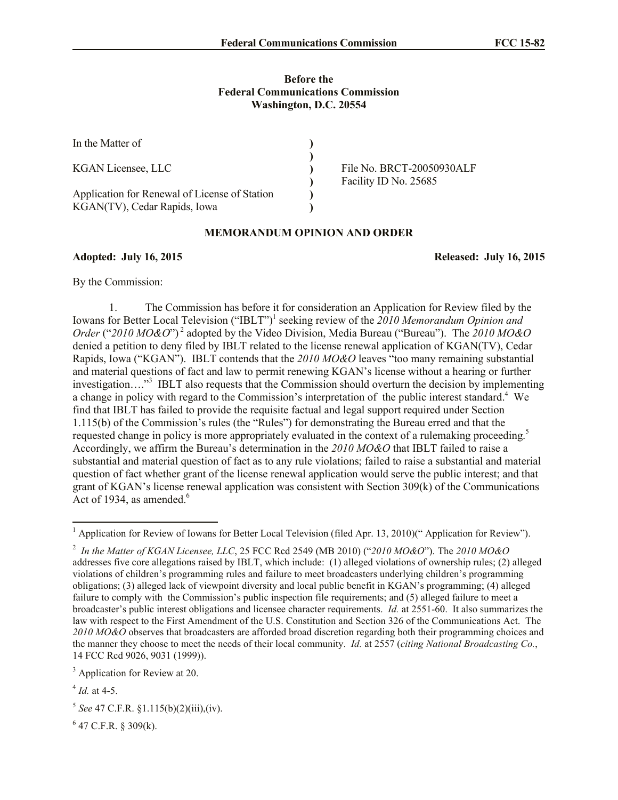## **Before the Federal Communications Commission Washington, D.C. 20554**

| In the Matter of                                                              |                                                    |
|-------------------------------------------------------------------------------|----------------------------------------------------|
| <b>KGAN Licensee, LLC</b>                                                     | File No. BRCT-20050930ALF<br>Facility ID No. 25685 |
| Application for Renewal of License of Station<br>KGAN(TV), Cedar Rapids, Iowa |                                                    |

## **MEMORANDUM OPINION AND ORDER**

**Adopted: July 16, 2015 Released: July 16, 2015**

By the Commission:

1. The Commission has before it for consideration an Application for Review filed by the Iowans for Better Local Television ("IBLT")<sup>1</sup> seeking review of the 2010 Memorandum Opinion and *Order* ("*2010 MO&O*") <sup>2</sup> adopted by the Video Division, Media Bureau ("Bureau"). The *2010 MO&O* denied a petition to deny filed by IBLT related to the license renewal application of KGAN(TV), Cedar Rapids, Iowa ("KGAN"). IBLT contends that the *2010 MO&O* leaves "too many remaining substantial and material questions of fact and law to permit renewing KGAN's license without a hearing or further investigation…."<sup>3</sup> IBLT also requests that the Commission should overturn the decision by implementing a change in policy with regard to the Commission's interpretation of the public interest standard.<sup>4</sup> We find that IBLT has failed to provide the requisite factual and legal support required under Section 1.115(b) of the Commission's rules (the "Rules") for demonstrating the Bureau erred and that the requested change in policy is more appropriately evaluated in the context of a rulemaking proceeding.<sup>5</sup> Accordingly, we affirm the Bureau's determination in the *2010 MO&O* that IBLT failed to raise a substantial and material question of fact as to any rule violations; failed to raise a substantial and material question of fact whether grant of the license renewal application would serve the public interest; and that grant of KGAN's license renewal application was consistent with Section 309(k) of the Communications Act of 1934, as amended. $6$ 

 $\overline{a}$ 

 $6$  47 C.F.R. § 309(k).

<sup>&</sup>lt;sup>1</sup> Application for Review of Iowans for Better Local Television (filed Apr. 13, 2010)(" Application for Review").

<sup>2</sup> *In the Matter of KGAN Licensee, LLC*, 25 FCC Rcd 2549 (MB 2010) ("*2010 MO&O*"). The *2010 MO&O* addresses five core allegations raised by IBLT, which include: (1) alleged violations of ownership rules; (2) alleged violations of children's programming rules and failure to meet broadcasters underlying children's programming obligations; (3) alleged lack of viewpoint diversity and local public benefit in KGAN's programming; (4) alleged failure to comply with the Commission's public inspection file requirements; and (5) alleged failure to meet a broadcaster's public interest obligations and licensee character requirements. *Id.* at 2551-60. It also summarizes the law with respect to the First Amendment of the U.S. Constitution and Section 326 of the Communications Act. The *2010 MO&O* observes that broadcasters are afforded broad discretion regarding both their programming choices and the manner they choose to meet the needs of their local community. *Id.* at 2557 (*citing National Broadcasting Co.*, 14 FCC Rcd 9026, 9031 (1999)).

<sup>&</sup>lt;sup>3</sup> Application for Review at 20.

<sup>4</sup> *Id.* at 4-5.

<sup>5</sup> *See* 47 C.F.R. §1.115(b)(2)(iii),(iv).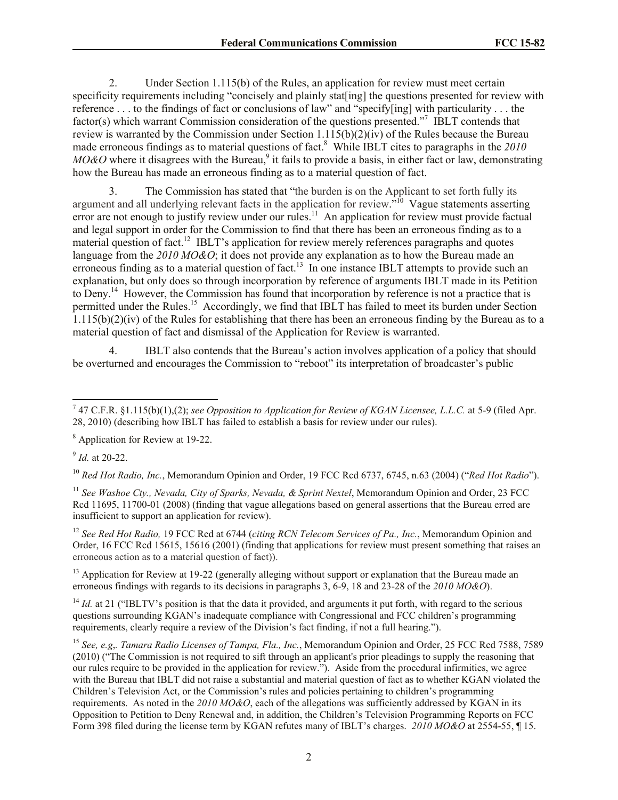2. Under Section 1.115(b) of the Rules, an application for review must meet certain specificity requirements including "concisely and plainly stat[ing] the questions presented for review with reference . . . to the findings of fact or conclusions of law" and "specify[ing] with particularity . . . the factor(s) which warrant Commission consideration of the questions presented."<sup>7</sup> IBLT contends that review is warranted by the Commission under Section 1.115(b)(2)(iv) of the Rules because the Bureau made erroneous findings as to material questions of fact.<sup>8</sup> While IBLT cites to paragraphs in the 2010  $MO\&O$  where it disagrees with the Bureau,<sup>9</sup> it fails to provide a basis, in either fact or law, demonstrating how the Bureau has made an erroneous finding as to a material question of fact.

3. The Commission has stated that "the burden is on the Applicant to set forth fully its argument and all underlying relevant facts in the application for review.<sup>510</sup> Vague statements asserting error are not enough to justify review under our rules.<sup>11</sup> An application for review must provide factual and legal support in order for the Commission to find that there has been an erroneous finding as to a material question of fact.<sup>12</sup> IBLT's application for review merely references paragraphs and quotes language from the *2010 MO&O*; it does not provide any explanation as to how the Bureau made an erroneous finding as to a material question of fact.<sup>13</sup> In one instance IBLT attempts to provide such an explanation, but only does so through incorporation by reference of arguments IBLT made in its Petition to Deny.<sup>14</sup> However, the Commission has found that incorporation by reference is not a practice that is permitted under the Rules.<sup>15</sup> Accordingly, we find that IBLT has failed to meet its burden under Section  $1.115(b)(2)(iv)$  of the Rules for establishing that there has been an erroneous finding by the Bureau as to a material question of fact and dismissal of the Application for Review is warranted.

4. IBLT also contends that the Bureau's action involves application of a policy that should be overturned and encourages the Commission to "reboot" its interpretation of broadcaster's public

9 *Id.* at 20-22.

<sup>10</sup> *Red Hot Radio, Inc.*, Memorandum Opinion and Order, 19 FCC Rcd 6737, 6745, n.63 (2004) ("*Red Hot Radio*").

<sup>11</sup> *See Washoe Cty., Nevada, City of Sparks, Nevada, & Sprint Nextel*, Memorandum Opinion and Order, 23 FCC Rcd 11695, 11700-01 (2008) (finding that vague allegations based on general assertions that the Bureau erred are insufficient to support an application for review).

<sup>12</sup> *See Red Hot Radio,* 19 FCC Rcd at 6744 (*citing RCN Telecom Services of Pa., Inc.*, Memorandum Opinion and Order, 16 FCC Rcd 15615, 15616 (2001) (finding that applications for review must present something that raises an erroneous action as to a material question of fact)).

<sup>13</sup> Application for Review at 19-22 (generally alleging without support or explanation that the Bureau made an erroneous findings with regards to its decisions in paragraphs 3, 6-9, 18 and 23-28 of the *2010 MO&O*).

 $14$  *Id.* at 21 ("IBLTV's position is that the data it provided, and arguments it put forth, with regard to the serious questions surrounding KGAN's inadequate compliance with Congressional and FCC children's programming requirements, clearly require a review of the Division's fact finding, if not a full hearing.").

<sup>15</sup> *See, e.g*,*. Tamara Radio Licenses of Tampa, Fla., Inc.*, Memorandum Opinion and Order, 25 FCC Rcd 7588, 7589 (2010) ("The Commission is not required to sift through an applicant's prior pleadings to supply the reasoning that our rules require to be provided in the application for review."). Aside from the procedural infirmities, we agree with the Bureau that IBLT did not raise a substantial and material question of fact as to whether KGAN violated the Children's Television Act, or the Commission's rules and policies pertaining to children's programming requirements. As noted in the *2010 MO&O*, each of the allegations was sufficiently addressed by KGAN in its Opposition to Petition to Deny Renewal and, in addition, the Children's Television Programming Reports on FCC Form 398 filed during the license term by KGAN refutes many of IBLT's charges. *2010 MO&O* at 2554-55, ¶ 15.

 7 47 C.F.R. §1.115(b)(1),(2); *see Opposition to Application for Review of KGAN Licensee, L.L.C.* at 5-9 (filed Apr. 28, 2010) (describing how IBLT has failed to establish a basis for review under our rules).

<sup>8</sup> Application for Review at 19-22.